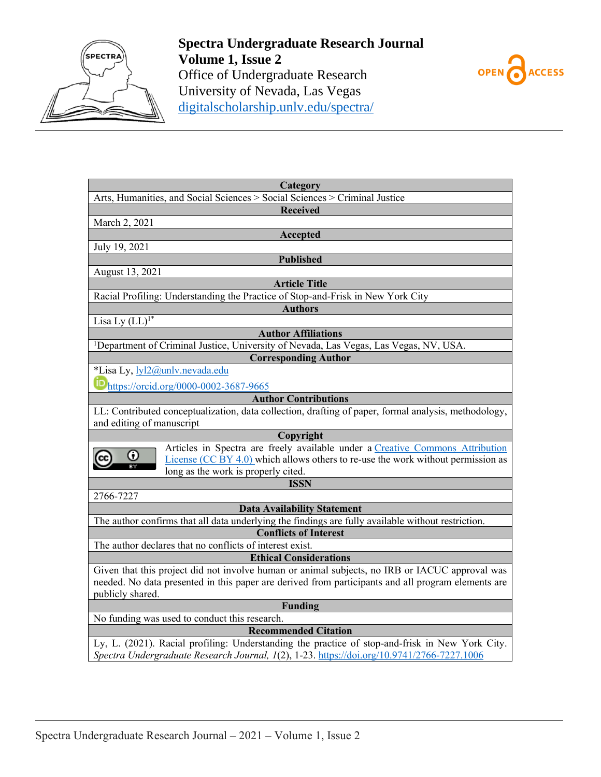



| Category                                                                                             |
|------------------------------------------------------------------------------------------------------|
| Arts, Humanities, and Social Sciences > Social Sciences > Criminal Justice                           |
| <b>Received</b>                                                                                      |
| March 2, 2021                                                                                        |
| Accepted                                                                                             |
| July 19, 2021                                                                                        |
| <b>Published</b>                                                                                     |
| August 13, 2021                                                                                      |
| <b>Article Title</b>                                                                                 |
| Racial Profiling: Understanding the Practice of Stop-and-Frisk in New York City                      |
| <b>Authors</b>                                                                                       |
| Lisa Ly $(LL)^{1*}$                                                                                  |
| <b>Author Affiliations</b>                                                                           |
| <sup>1</sup> Department of Criminal Justice, University of Nevada, Las Vegas, Las Vegas, NV, USA.    |
| <b>Corresponding Author</b>                                                                          |
| *Lisa Ly, lyl2@unlv.nevada.edu                                                                       |
| ID https://orcid.org/0000-0002-3687-9665                                                             |
| <b>Author Contributions</b>                                                                          |
| LL: Contributed conceptualization, data collection, drafting of paper, formal analysis, methodology, |
| and editing of manuscript                                                                            |
| Copyright                                                                                            |
| Articles in Spectra are freely available under a Creative Commons Attribution                        |
| O<br>License $(CC BY 4.0)$ which allows others to re-use the work without permission as              |
| long as the work is properly cited.                                                                  |
| <b>ISSN</b>                                                                                          |
| 2766-7227                                                                                            |
| <b>Data Availability Statement</b>                                                                   |
| The author confirms that all data underlying the findings are fully available without restriction.   |
| <b>Conflicts of Interest</b>                                                                         |
| The author declares that no conflicts of interest exist.                                             |
| <b>Ethical Considerations</b>                                                                        |
| Given that this project did not involve human or animal subjects, no IRB or IACUC approval was       |
| needed. No data presented in this paper are derived from participants and all program elements are   |
| publicly shared.                                                                                     |
| <b>Funding</b>                                                                                       |
| No funding was used to conduct this research.                                                        |
| <b>Recommended Citation</b>                                                                          |
| Ly, L. (2021). Racial profiling: Understanding the practice of stop-and-frisk in New York City.      |
| Spectra Undergraduate Research Journal, 1(2), 1-23. https://doi.org/10.9741/2766-7227.1006           |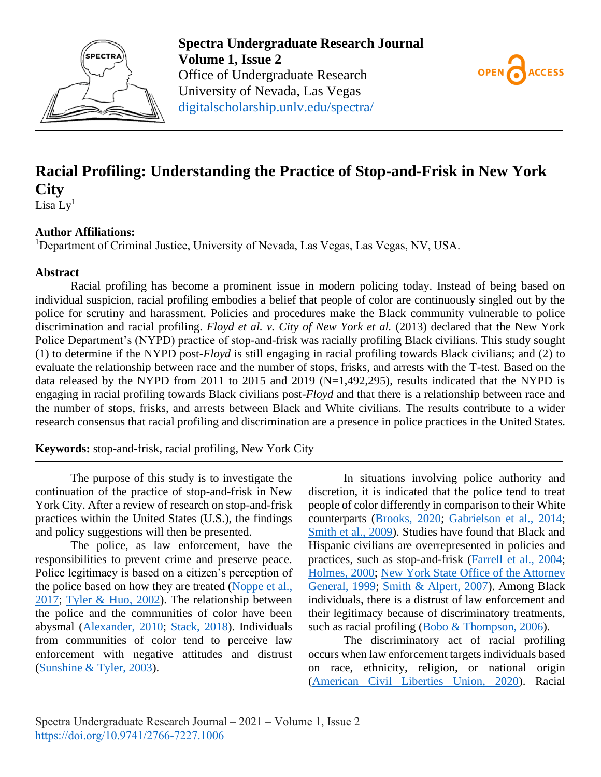



# **Racial Profiling: Understanding the Practice of Stop-and-Frisk in New York City**

Lisa  $Ly<sup>1</sup>$ 

### **Author Affiliations:**

<sup>1</sup>Department of Criminal Justice, University of Nevada, Las Vegas, Las Vegas, NV, USA.

### **Abstract**

Racial profiling has become a prominent issue in modern policing today. Instead of being based on individual suspicion, racial profiling embodies a belief that people of color are continuously singled out by the police for scrutiny and harassment. Policies and procedures make the Black community vulnerable to police discrimination and racial profiling. *Floyd et al. v. City of New York et al.* (2013) declared that the New York Police Department's (NYPD) practice of stop-and-frisk was racially profiling Black civilians. This study sought (1) to determine if the NYPD post-*Floyd* is still engaging in racial profiling towards Black civilians; and (2) to evaluate the relationship between race and the number of stops, frisks, and arrests with the T-test. Based on the data released by the NYPD from 2011 to 2015 and 2019 (N=1,492,295), results indicated that the NYPD is engaging in racial profiling towards Black civilians post-*Floyd* and that there is a relationship between race and the number of stops, frisks, and arrests between Black and White civilians. The results contribute to a wider research consensus that racial profiling and discrimination are a presence in police practices in the United States.

**Keywords:** stop-and-frisk, racial profiling, New York City

The purpose of this study is to investigate the continuation of the practice of stop-and-frisk in New York City. After a review of research on stop-and-frisk practices within the United States (U.S.), the findings and policy suggestions will then be presented.

The police, as law enforcement, have the responsibilities to prevent crime and preserve peace. Police legitimacy is based on a citizen's perception of the police based on how they are treated (Noppe et al., [2017;](#page-12-0) [Tyler & Huo, 2002\)](#page-13-0). The relationship between the police and the communities of color have been abysmal [\(Alexander, 2010;](#page-10-0) [Stack, 2018\)](#page-12-1). Individuals from communities of color tend to perceive law enforcement with negative attitudes and distrust [\(Sunshine & Tyler, 2003\)](#page-12-2).

In situations involving police authority and discretion, it is indicated that the police tend to treat people of color differently in comparison to their White counterparts [\(Brooks, 2020;](#page-10-1) [Gabrielson et al., 2014;](#page-11-0) [Smith et al., 2009\)](#page-12-3). Studies have found that Black and Hispanic civilians are overrepresented in policies and practices, such as stop-and-frisk [\(Farrell et al., 2004;](#page-11-1) [Holmes, 2000;](#page-11-2) [New York State Office of the Attorney](#page-12-4)  [General, 1999;](#page-12-4) [Smith & Alpert, 2007\)](#page-12-5). Among Black individuals, there is a distrust of law enforcement and their legitimacy because of discriminatory treatments, such as racial profiling [\(Bobo & Thompson, 2006\)](#page-10-2).

The discriminatory act of racial profiling occurs when law enforcement targets individuals based on race, ethnicity, religion, or national origin [\(American Civil Liberties Union, 2020\)](#page-10-3). Racial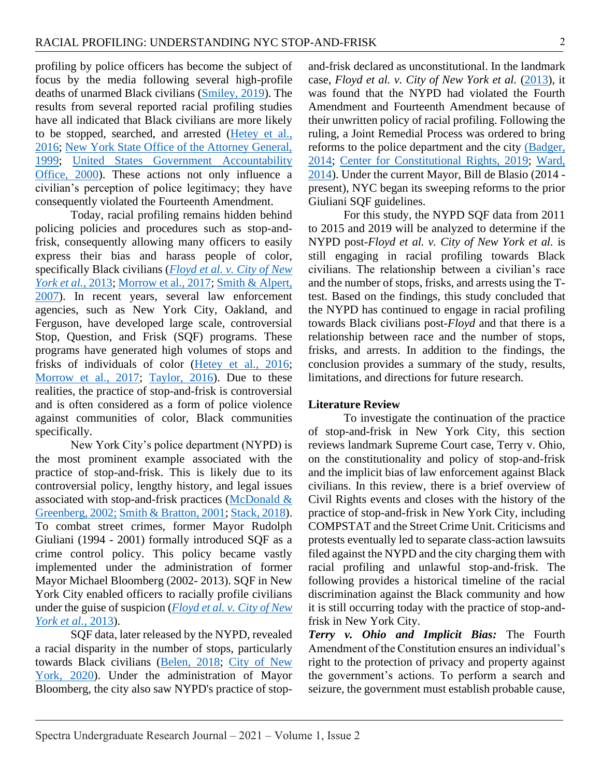profiling by police officers has become the subject of focus by the media following several high-profile deaths of unarmed Black civilians [\(Smiley, 2019\)](#page-12-6). The results from several reported racial profiling studies have all indicated that Black civilians are more likely to be stopped, searched, and arrested [\(Hetey et al.,](#page-11-3)  [2016;](#page-11-3) [New York State Office of the Attorney General,](#page-12-4)  [1999;](#page-12-4) [United States Government Accountability](#page-13-1)  [Office, 2000\)](#page-13-1). These actions not only influence a civilian's perception of police legitimacy; they have consequently violated the Fourteenth Amendment.

Today, racial profiling remains hidden behind policing policies and procedures such as stop-andfrisk, consequently allowing many officers to easily express their bias and harass people of color, specifically Black civilians (*[Floyd et al. v. City of New](#page-11-4)  [York et al.](#page-11-4)*, 2013; [Morrow et al., 2017;](#page-11-5) [Smith & Alpert,](#page-12-5)  [2007\)](#page-12-5). In recent years, several law enforcement agencies, such as New York City, Oakland, and Ferguson, have developed large scale, controversial Stop, Question, and Frisk (SQF) programs. These programs have generated high volumes of stops and frisks of individuals of color [\(Hetey et al., 2016;](#page-11-3) Morrow [et al., 2017;](#page-11-5) [Taylor, 2016\)](#page-12-7). Due to these realities, the practice of stop-and-frisk is controversial and is often considered as a form of police violence against communities of color, Black communities specifically.

New York City's police department (NYPD) is the most prominent example associated with the practice of stop-and-frisk. This is likely due to its controversial policy, lengthy history, and legal issues associated with stop-and-frisk practices [\(McDonald &](#page-11-6)  [Greenberg, 2002;](#page-11-6) [Smith & Bratton, 2001;](#page-12-8) [Stack, 2018\)](#page-12-1). To combat street crimes, former Mayor Rudolph Giuliani (1994 - 2001) formally introduced SQF as a crime control policy. This policy became vastly implemented under the administration of former Mayor Michael Bloomberg (2002- 2013). SQF in New York City enabled officers to racially profile civilians under the guise of suspicion (*[Floyd et al. v. City of New](#page-11-4)  [York et al.](#page-11-4)*, 2013).

SQF data, later released by the NYPD, revealed a racial disparity in the number of stops, particularly towards Black civilians [\(Belen, 2018;](#page-10-4) [City of New](#page-10-5)  [York, 2020\)](#page-10-5). Under the administration of Mayor Bloomberg, the city also saw NYPD's practice of stopand-frisk declared as unconstitutional. In the landmark case, *Floyd et al. v. City of New York et al.* [\(2013\)](#page-11-4), it was found that the NYPD had violated the Fourth Amendment and Fourteenth Amendment because of their unwritten policy of racial profiling. Following the ruling, a Joint Remedial Process was ordered to bring reforms to the police department and the city [\(Badger,](#page-10-6)  [2014;](#page-10-6) [Center for Constitutional Rights, 2019;](#page-10-7) [Ward,](#page-13-2)  [2014\)](#page-13-2). Under the current Mayor, Bill de Blasio (2014 present), NYC began its sweeping reforms to the prior Giuliani SQF guidelines.

For this study, the NYPD SQF data from 2011 to 2015 and 2019 will be analyzed to determine if the NYPD post-*Floyd et al. v. City of New York et al.* is still engaging in racial profiling towards Black civilians. The relationship between a civilian's race and the number of stops, frisks, and arrests using the Ttest. Based on the findings, this study concluded that the NYPD has continued to engage in racial profiling towards Black civilians post-*Floyd* and that there is a relationship between race and the number of stops, frisks, and arrests. In addition to the findings, the conclusion provides a summary of the study, results, limitations, and directions for future research.

#### **Literature Review**

To investigate the continuation of the practice of stop-and-frisk in New York City, this section reviews landmark Supreme Court case, Terry v. Ohio, on the constitutionality and policy of stop-and-frisk and the implicit bias of law enforcement against Black civilians. In this review, there is a brief overview of Civil Rights events and closes with the history of the practice of stop-and-frisk in New York City, including COMPSTAT and the Street Crime Unit. Criticisms and protests eventually led to separate class-action lawsuits filed against the NYPD and the city charging them with racial profiling and unlawful stop-and-frisk. The following provides a historical timeline of the racial discrimination against the Black community and how it is still occurring today with the practice of stop-andfrisk in New York City.

*Terry v. Ohio and Implicit Bias:* The Fourth Amendment of the Constitution ensures an individual's right to the protection of privacy and property against the government's actions. To perform a search and seizure, the government must establish probable cause,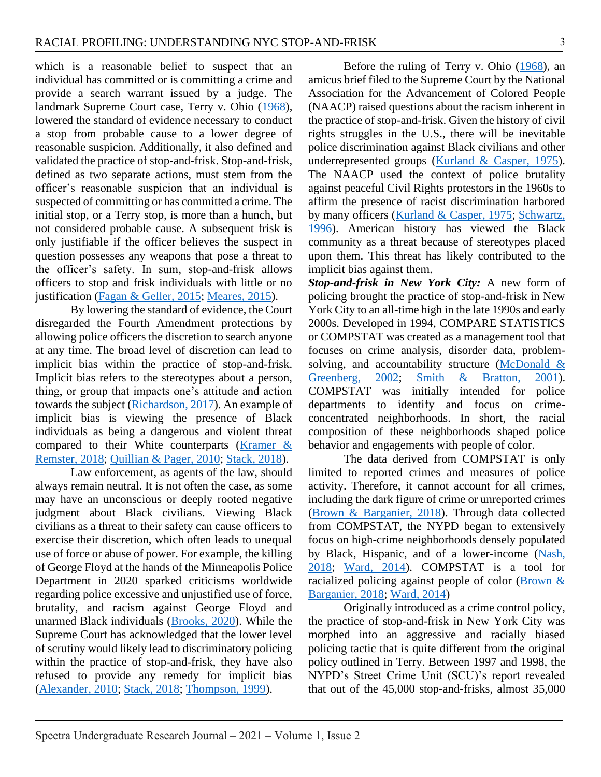which is a reasonable belief to suspect that an individual has committed or is committing a crime and provide a search warrant issued by a judge. The landmark Supreme Court case, Terry v. Ohio [\(1968\)](#page-12-9), lowered the standard of evidence necessary to conduct a stop from probable cause to a lower degree of reasonable suspicion. Additionally, it also defined and validated the practice of stop-and-frisk. Stop-and-frisk, defined as two separate actions, must stem from the officer's reasonable suspicion that an individual is suspected of committing or has committed a crime. The initial stop, or a Terry stop, is more than a hunch, but not considered probable cause. A subsequent frisk is only justifiable if the officer believes the suspect in question possesses any weapons that pose a threat to the officer's safety. In sum, stop-and-frisk allows officers to stop and frisk individuals with little or no justification [\(Fagan & Geller, 2015;](#page-10-8) [Meares, 2015\)](#page-11-7).

By lowering the standard of evidence, the Court disregarded the Fourth Amendment protections by allowing police officers the discretion to search anyone at any time. The broad level of discretion can lead to implicit bias within the practice of stop-and-frisk. Implicit bias refers to the stereotypes about a person, thing, or group that impacts one's attitude and action towards the subject [\(Richardson, 2017\)](#page-12-10). An example of implicit bias is viewing the presence of Black individuals as being a dangerous and violent threat compared to their White counterparts [\(Kramer &](#page-11-8)  [Remster, 2018;](#page-11-8) [Quillian & Pager, 2010;](#page-12-11) [Stack, 2018\)](#page-12-1).

Law enforcement, as agents of the law, should always remain neutral. It is not often the case, as some may have an unconscious or deeply rooted negative judgment about Black civilians. Viewing Black civilians as a threat to their safety can cause officers to exercise their discretion, which often leads to unequal use of force or abuse of power. For example, the killing of George Floyd at the hands of the Minneapolis Police Department in 2020 sparked criticisms worldwide regarding police excessive and unjustified use of force, brutality, and racism against George Floyd and unarmed Black individuals [\(Brooks, 2020\)](#page-10-1). While the Supreme Court has acknowledged that the lower level of scrutiny would likely lead to discriminatory policing within the practice of stop-and-frisk, they have also refused to provide any remedy for implicit bias [\(Alexander, 2010;](#page-10-0) [Stack, 2018;](#page-12-1) [Thompson, 1999\)](#page-12-12).

Before the ruling of Terry v. Ohio [\(1968\)](#page-12-9), an amicus brief filed to the Supreme Court by the National Association for the Advancement of Colored People (NAACP) raised questions about the racism inherent in the practice of stop-and-frisk. Given the history of civil rights struggles in the U.S., there will be inevitable police discrimination against Black civilians and other underrepresented groups [\(Kurland & Casper, 1975\)](#page-11-9). The NAACP used the context of police brutality against peaceful Civil Rights protestors in the 1960s to affirm the presence of racist discrimination harbored by many officers [\(Kurland & Casper, 1975;](#page-11-9) Schwartz, [1996\)](#page-12-13). American history has viewed the Black community as a threat because of stereotypes placed upon them. This threat has likely contributed to the implicit bias against them.

*Stop-and-frisk in New York City:* A new form of policing brought the practice of stop-and-frisk in New York City to an all-time high in the late 1990s and early 2000s. Developed in 1994, COMPARE STATISTICS or COMPSTAT was created as a management tool that focuses on crime analysis, disorder data, problemsolving, and accountability structure (McDonald & [Greenberg, 2002;](#page-11-6) [Smith & Bratton, 2001\)](#page-12-8). COMPSTAT was initially intended for police departments to identify and focus on crimeconcentrated neighborhoods. In short, the racial composition of these neighborhoods shaped police behavior and engagements with people of color.

The data derived from COMPSTAT is only limited to reported crimes and measures of police activity. Therefore, it cannot account for all crimes, including the dark figure of crime or unreported crimes [\(Brown & Barganier, 2018\)](#page-10-9). Through data collected from COMPSTAT, the NYPD began to extensively focus on high-crime neighborhoods densely populated by Black, Hispanic, and of a lower-income [\(Nash,](#page-11-10)  [2018;](#page-11-10) [Ward, 2014\)](#page-13-2). COMPSTAT is a tool for racialized policing against people of color [\(Brown &](#page-10-9)  [Barganier, 2018;](#page-10-9) [Ward, 2014\)](#page-13-2)

Originally introduced as a crime control policy, the practice of stop-and-frisk in New York City was morphed into an aggressive and racially biased policing tactic that is quite different from the original policy outlined in Terry. Between 1997 and 1998, the NYPD's Street Crime Unit (SCU)'s report revealed that out of the 45,000 stop-and-frisks, almost 35,000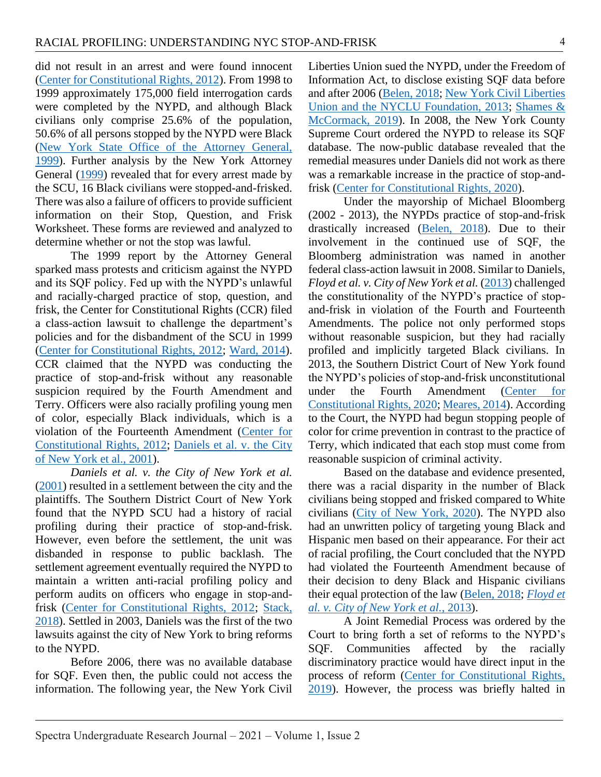did not result in an arrest and were found innocent [\(Center for Constitutional Rights, 2012\)](#page-10-10). From 1998 to 1999 approximately 175,000 field interrogation cards were completed by the NYPD, and although Black civilians only comprise 25.6% of the population, 50.6% of all persons stopped by the NYPD were Black (New York [State Office of the Attorney General,](#page-12-4)  [1999\)](#page-12-4). Further analysis by the New York Attorney General [\(1999\)](#page-12-4) revealed that for every arrest made by the SCU, 16 Black civilians were stopped-and-frisked. There was also a failure of officers to provide sufficient information on their Stop, Question, and Frisk Worksheet. These forms are reviewed and analyzed to determine whether or not the stop was lawful.

The 1999 report by the Attorney General sparked mass protests and criticism against the NYPD and its SQF policy. Fed up with the NYPD's unlawful and racially-charged practice of stop, question, and frisk, the Center for Constitutional Rights (CCR) filed a class-action lawsuit to challenge the department's policies and for the disbandment of the SCU in 1999 [\(Center for Constitutional Rights, 2012;](#page-10-10) [Ward, 2014\)](#page-13-2). CCR claimed that the NYPD was conducting the practice of stop-and-frisk without any reasonable suspicion required by the Fourth Amendment and Terry. Officers were also racially profiling young men of color, especially Black individuals, which is a violation of the Fourteenth Amendment [\(Center for](#page-10-10)  [Constitutional Rights, 2012;](#page-10-10) [Daniels et al. v. the City](#page-10-11)  [of New York et al., 2001\)](#page-10-11).

*Daniels et al. v. the City of New York et al.* [\(2001\)](#page-10-12) resulted in a settlement between the city and the plaintiffs. The Southern District Court of New York found that the NYPD SCU had a history of racial profiling during their practice of stop-and-frisk. However, even before the settlement, the unit was disbanded in response to public backlash. The settlement agreement eventually required the NYPD to maintain a written anti-racial profiling policy and perform audits on officers who engage in stop-andfrisk [\(Center for Constitutional Rights, 2012;](#page-10-10) [Stack,](#page-12-1)  [2018\)](#page-12-1). Settled in 2003, Daniels was the first of the two lawsuits against the city of New York to bring reforms to the NYPD.

Before 2006, there was no available database for SQF. Even then, the public could not access the information. The following year, the New York Civil

Liberties Union sued the NYPD, under the Freedom of Information Act, to disclose existing SQF data before and after 2006 [\(Belen, 2018;](#page-10-4) [New York Civil Liberties](#page-12-14)  [Union and the NYCLU Foundation, 2013;](#page-12-14) [Shames &](#page-12-15)  [McCormack, 2019\)](#page-12-15). In 2008, the New York County Supreme Court ordered the NYPD to release its SQF database. The now-public database revealed that the remedial measures under Daniels did not work as there was a remarkable increase in the practice of stop-andfrisk [\(Center for Constitutional Rights, 2020\)](#page-10-13).

Under the mayorship of Michael Bloomberg (2002 - 2013), the NYPDs practice of stop-and-frisk drastically increased [\(Belen, 2018\)](#page-10-4). Due to their involvement in the continued use of SQF, the Bloomberg administration was named in another federal class-action lawsuit in 2008. Similar to Daniels, *Floyd et al. v. City of New York et al.* [\(2013\)](#page-11-4) challenged the constitutionality of the NYPD's practice of stopand-frisk in violation of the Fourth and Fourteenth Amendments. The police not only performed stops without reasonable suspicion, but they had racially profiled and implicitly targeted Black civilians. In 2013, the Southern District Court of New York found the NYPD's policies of stop-and-frisk unconstitutional under the Fourth Amendment [\(Center for](#page-10-13)  [Constitutional Rights, 2020;](#page-10-13) [Meares, 2014\)](#page-11-11). According to the Court, the NYPD had begun stopping people of color for crime prevention in contrast to the practice of Terry, which indicated that each stop must come from reasonable suspicion of criminal activity.

Based on the database and evidence presented, there was a racial disparity in the number of Black civilians being stopped and frisked compared to White civilians [\(City of New York, 2020\)](#page-10-5). The NYPD also had an unwritten policy of targeting young Black and Hispanic men based on their appearance. For their act of racial profiling, the Court concluded that the NYPD had violated the Fourteenth Amendment because of their decision to deny Black and Hispanic civilians their equal protection of the law [\(Belen, 2018;](#page-10-4) *[Floyd et](#page-11-4)  [al. v. City of New York et al.](#page-11-4)*, 2013).

A Joint Remedial Process was ordered by the Court to bring forth a set of reforms to the NYPD's SQF. Communities affected by the racially discriminatory practice would have direct input in the process of reform [\(Center for Constitutional Rights,](#page-10-7)  [2019\)](#page-10-7). However, the process was briefly halted in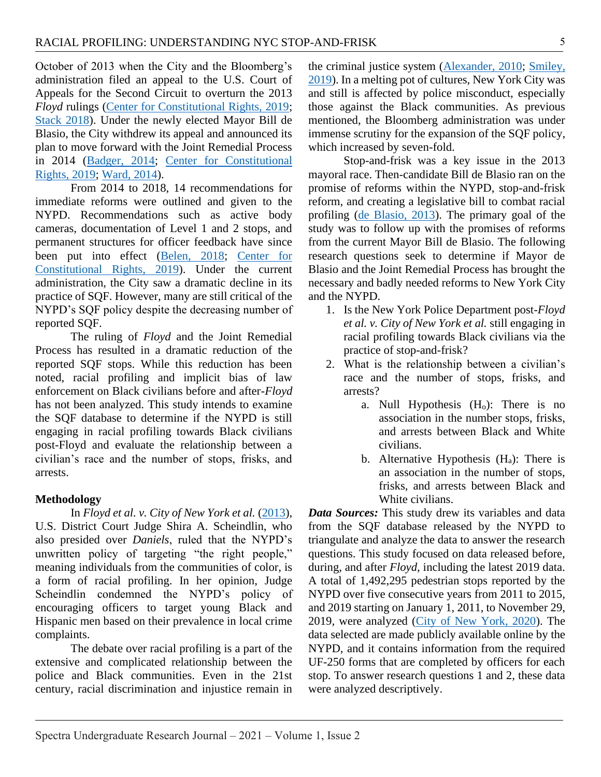October of 2013 when the City and the Bloomberg's administration filed an appeal to the U.S. Court of Appeals for the Second Circuit to overturn the 2013 *Floyd* rulings [\(Center for Constitutional Rights, 2019;](#page-10-7) [Stack 2018\)](#page-12-1). Under the newly elected Mayor Bill de Blasio, the City withdrew its appeal and announced its plan to move forward with the Joint Remedial Process in 2014 [\(Badger, 2014;](#page-10-6) [Center for Constitutional](#page-10-7)  [Rights, 2019;](#page-10-7) [Ward, 2014\)](#page-13-2).

From 2014 to 2018, 14 recommendations for immediate reforms were outlined and given to the NYPD. Recommendations such as active body cameras, documentation of Level 1 and 2 stops, and permanent structures for officer feedback have since been put into effect [\(Belen, 2018;](#page-10-4) [Center for](#page-10-7)  [Constitutional Rights,](#page-10-7) 2019). Under the current administration, the City saw a dramatic decline in its practice of SQF. However, many are still critical of the NYPD's SQF policy despite the decreasing number of reported SQF.

The ruling of *Floyd* and the Joint Remedial Process has resulted in a dramatic reduction of the reported SQF stops. While this reduction has been noted, racial profiling and implicit bias of law enforcement on Black civilians before and after-*Floyd*  has not been analyzed. This study intends to examine the SQF database to determine if the NYPD is still engaging in racial profiling towards Black civilians post-Floyd and evaluate the relationship between a civilian's race and the number of stops, frisks, and arrests.

### **Methodology**

In *Floyd et al. v. City of New York et al.* [\(2013\)](#page-11-4), U.S. District Court Judge Shira A. Scheindlin, who also presided over *Daniels*, ruled that the NYPD's unwritten policy of targeting "the right people," meaning individuals from the communities of color, is a form of racial profiling. In her opinion, Judge Scheindlin condemned the NYPD's policy of encouraging officers to target young Black and Hispanic men based on their prevalence in local crime complaints.

The debate over racial profiling is a part of the extensive and complicated relationship between the police and Black communities. Even in the 21st century, racial discrimination and injustice remain in

the criminal justice system [\(Alexander, 2010;](#page-10-0) [Smiley,](#page-12-6)  [2019\)](#page-12-6). In a melting pot of cultures, New York City was and still is affected by police misconduct, especially those against the Black communities. As previous mentioned, the Bloomberg administration was under immense scrutiny for the expansion of the SQF policy, which increased by seven-fold.

Stop-and-frisk was a key issue in the 2013 mayoral race. Then-candidate Bill de Blasio ran on the promise of reforms within the NYPD, stop-and-frisk reform, and creating a legislative bill to combat racial profiling [\(de Blasio, 2013\)](#page-10-14). The primary goal of the study was to follow up with the promises of reforms from the current Mayor Bill de Blasio. The following research questions seek to determine if Mayor de Blasio and the Joint Remedial Process has brought the necessary and badly needed reforms to New York City and the NYPD.

- 1. Is the New York Police Department post-*Floyd et al. v. City of New York et al.* still engaging in racial profiling towards Black civilians via the practice of stop-and-frisk?
- 2. What is the relationship between a civilian's race and the number of stops, frisks, and arrests?
	- a. Null Hypothesis  $(H_0)$ : There is no association in the number stops, frisks, and arrests between Black and White civilians.
	- b. Alternative Hypothesis  $(H_a)$ : There is an association in the number of stops, frisks, and arrests between Black and White civilians.

*Data Sources:* This study drew its variables and data from the SQF database released by the NYPD to triangulate and analyze the data to answer the research questions. This study focused on data released before, during, and after *Floyd*, including the latest 2019 data. A total of 1,492,295 pedestrian stops reported by the NYPD over five consecutive years from 2011 to 2015, and 2019 starting on January 1, 2011, to November 29, 2019, were analyzed [\(City of New York, 2020\)](#page-10-5). The data selected are made publicly available online by the NYPD, and it contains information from the required UF-250 forms that are completed by officers for each stop. To answer research questions 1 and 2, these data were analyzed descriptively.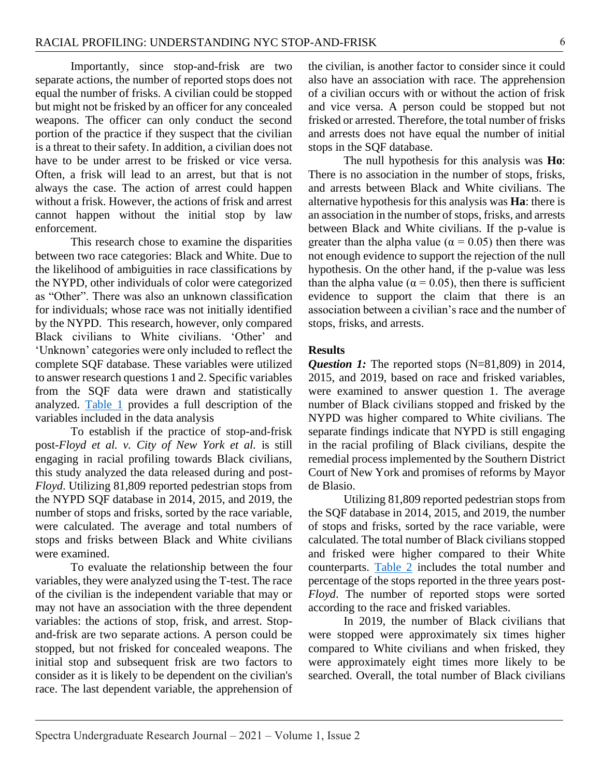Importantly, since stop-and-frisk are two separate actions, the number of reported stops does not equal the number of frisks. A civilian could be stopped but might not be frisked by an officer for any concealed weapons. The officer can only conduct the second portion of the practice if they suspect that the civilian is a threat to their safety. In addition, a civilian does not have to be under arrest to be frisked or vice versa. Often, a frisk will lead to an arrest, but that is not always the case. The action of arrest could happen without a frisk. However, the actions of frisk and arrest cannot happen without the initial stop by law enforcement.

This research chose to examine the disparities between two race categories: Black and White. Due to the likelihood of ambiguities in race classifications by the NYPD, other individuals of color were categorized as "Other". There was also an unknown classification for individuals; whose race was not initially identified by the NYPD. This research, however, only compared Black civilians to White civilians. 'Other' and 'Unknown' categories were only included to reflect the complete SQF database. These variables were utilized to answer research questions 1 and 2. Specific variables from the SQF data were drawn and statistically analyzed. [Table 1](#page-14-0) provides a full description of the variables included in the data analysis

To establish if the practice of stop-and-frisk post-*Floyd et al. v. City of New York et al.* is still engaging in racial profiling towards Black civilians, this study analyzed the data released during and post-*Floyd*. Utilizing 81,809 reported pedestrian stops from the NYPD SQF database in 2014, 2015, and 2019, the number of stops and frisks, sorted by the race variable, were calculated. The average and total numbers of stops and frisks between Black and White civilians were examined.

To evaluate the relationship between the four variables, they were analyzed using the T-test. The race of the civilian is the independent variable that may or may not have an association with the three dependent variables: the actions of stop, frisk, and arrest. Stopand-frisk are two separate actions. A person could be stopped, but not frisked for concealed weapons. The initial stop and subsequent frisk are two factors to consider as it is likely to be dependent on the civilian's race. The last dependent variable, the apprehension of the civilian, is another factor to consider since it could also have an association with race. The apprehension of a civilian occurs with or without the action of frisk and vice versa. A person could be stopped but not frisked or arrested. Therefore, the total number of frisks and arrests does not have equal the number of initial stops in the SQF database.

The null hypothesis for this analysis was **Ho**: There is no association in the number of stops, frisks, and arrests between Black and White civilians. The alternative hypothesis for this analysis was **Ha**: there is an association in the number of stops, frisks, and arrests between Black and White civilians. If the p-value is greater than the alpha value ( $\alpha = 0.05$ ) then there was not enough evidence to support the rejection of the null hypothesis. On the other hand, if the p-value was less than the alpha value ( $\alpha$  = 0.05), then there is sufficient evidence to support the claim that there is an association between a civilian's race and the number of stops, frisks, and arrests.

#### **Results**

*Question 1:* The reported stops (N=81,809) in 2014, 2015, and 2019, based on race and frisked variables, were examined to answer question 1. The average number of Black civilians stopped and frisked by the NYPD was higher compared to White civilians. The separate findings indicate that NYPD is still engaging in the racial profiling of Black civilians, despite the remedial process implemented by the Southern District Court of New York and promises of reforms by Mayor de Blasio.

Utilizing 81,809 reported pedestrian stops from the SQF database in 2014, 2015, and 2019, the number of stops and frisks, sorted by the race variable, were calculated. The total number of Black civilians stopped and frisked were higher compared to their White counterparts. [Table 2](#page-15-0) includes the total number and percentage of the stops reported in the three years post-*Floyd*. The number of reported stops were sorted according to the race and frisked variables.

In 2019, the number of Black civilians that were stopped were approximately six times higher compared to White civilians and when frisked, they were approximately eight times more likely to be searched. Overall, the total number of Black civilians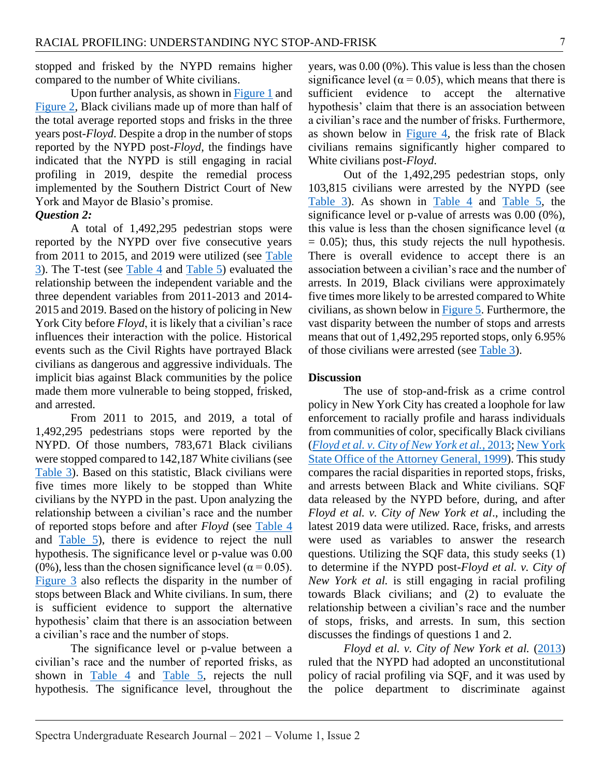stopped and frisked by the NYPD remains higher compared to the number of White civilians.

Upon further analysis, as shown in [Figure 1](#page-19-0) and [Figure](#page-20-0) 2, Black civilians made up of more than half of the total average reported stops and frisks in the three years post-*Floyd*. Despite a drop in the number of stops reported by the NYPD post-*Floyd*, the findings have indicated that the NYPD is still engaging in racial profiling in 2019, despite the remedial process implemented by the Southern District Court of New York and Mayor de Blasio's promise.

#### *Question 2:*

A total of 1,492,295 pedestrian stops were reported by the NYPD over five consecutive years from 2011 to 2015, and 2019 were utilized (see [Table](#page-16-0)  [3\)](#page-16-0). The T-test (see [Table 4](#page-17-0) and [Table 5\)](#page-18-0) evaluated the relationship between the independent variable and the three dependent variables from 2011-2013 and 2014- 2015 and 2019. Based on the history of policing in New York City before *Floyd*, it is likely that a civilian's race influences their interaction with the police. Historical events such as the Civil Rights have portrayed Black civilians as dangerous and aggressive individuals. The implicit bias against Black communities by the police made them more vulnerable to being stopped, frisked, and arrested.

From 2011 to 2015, and 2019, a total of 1,492,295 pedestrians stops were reported by the NYPD. Of those numbers, 783,671 Black civilians were stopped compared to 142,187 White civilians (see [Table 3\)](#page-16-0). Based on this statistic, Black civilians were five times more likely to be stopped than White civilians by the NYPD in the past. Upon analyzing the relationship between a civilian's race and the number of reported stops before and after *Floyd* (see [Table 4](#page-17-0) and [Table 5\)](#page-18-0), there is evidence to reject the null hypothesis. The significance level or p-value was 0.00 (0%), less than the chosen significance level ( $\alpha$  = 0.05). [Figure 3](#page-21-0) also reflects the disparity in the number of stops between Black and White civilians. In sum, there is sufficient evidence to support the alternative hypothesis' claim that there is an association between a civilian's race and the number of stops.

The significance level or p-value between a civilian's race and the number of reported frisks, as shown in  $Table 4$  and  $Table 5$ , rejects the null hypothesis. The significance level, throughout the

years, was 0.00 (0%). This value is less than the chosen significance level ( $\alpha$  = 0.05), which means that there is sufficient evidence to accept the alternative hypothesis' claim that there is an association between a civilian's race and the number of frisks. Furthermore, as shown below in [Figure 4,](#page-22-0) the frisk rate of Black civilians remains significantly higher compared to White civilians post-*Floyd*.

Out of the 1,492,295 pedestrian stops, only 103,815 civilians were arrested by the NYPD (see [Table 3\)](#page-16-0). As shown in [Table 4](#page-17-0) and [Table 5,](#page-18-0) the significance level or p-value of arrests was 0.00 (0%), this value is less than the chosen significance level ( $\alpha$ )  $= 0.05$ ; thus, this study rejects the null hypothesis. There is overall evidence to accept there is an association between a civilian's race and the number of arrests. In 2019, Black civilians were approximately five times more likely to be arrested compared to White civilians, as shown below in [Figure 5.](#page-23-0) Furthermore, the vast disparity between the number of stops and arrests means that out of 1,492,295 reported stops, only 6.95% of those civilians were arrested (see [Table 3\)](#page-16-0).

#### **Discussion**

The use of stop-and-frisk as a crime control policy in New York City has created a loophole for law enforcement to racially profile and harass individuals from communities of color, specifically Black civilians (*[Floyd et al. v. City of New York et al.](#page-11-4)*, 2013[; New York](#page-12-4)  [State Office of the Attorney General, 1999\)](#page-12-4). This study compares the racial disparities in reported stops, frisks, and arrests between Black and White civilians. SQF data released by the NYPD before, during, and after *Floyd et al. v. City of New York et al*., including the latest 2019 data were utilized. Race, frisks, and arrests were used as variables to answer the research questions. Utilizing the SQF data, this study seeks (1) to determine if the NYPD post-*Floyd et al. v. City of New York et al.* is still engaging in racial profiling towards Black civilians; and (2) to evaluate the relationship between a civilian's race and the number of stops, frisks, and arrests. In sum, this section discusses the findings of questions 1 and 2.

*Floyd et al. v. City of New York et al.* [\(2013\)](#page-11-4) ruled that the NYPD had adopted an unconstitutional policy of racial profiling via SQF, and it was used by the police department to discriminate against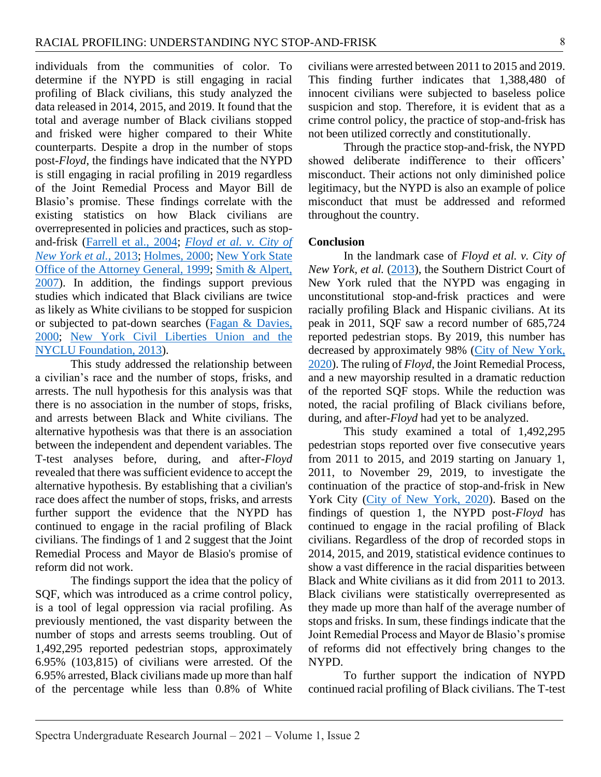individuals from the communities of color. To determine if the NYPD is still engaging in racial profiling of Black civilians, this study analyzed the data released in 2014, 2015, and 2019. It found that the total and average number of Black civilians stopped and frisked were higher compared to their White counterparts. Despite a drop in the number of stops post-*Floyd*, the findings have indicated that the NYPD is still engaging in racial profiling in 2019 regardless of the Joint Remedial Process and Mayor Bill de Blasio's promise. These findings correlate with the existing statistics on how Black civilians are overrepresented in policies and practices, such as stopand-frisk [\(Farrell et al., 2004;](#page-11-1) *[Floyd et al. v. City of](#page-11-4)  [New York et al.](#page-11-4)*, 2013; [Holmes, 2000;](#page-11-2) [New York State](#page-12-4)  [Office of the Attorney General, 1999;](#page-12-4) [Smith & Alpert,](#page-12-5)  [2007\)](#page-12-5). In addition, the findings support previous studies which indicated that Black civilians are twice as likely as White civilians to be stopped for suspicion or subjected to pat-down searches [\(Fagan & Davies,](#page-10-12)  [2000;](#page-10-12) [New York Civil Liberties Union and the](#page-12-14)  [NYCLU Foundation, 2013\)](#page-12-14).

This study addressed the relationship between a civilian's race and the number of stops, frisks, and arrests. The null hypothesis for this analysis was that there is no association in the number of stops, frisks, and arrests between Black and White civilians. The alternative hypothesis was that there is an association between the independent and dependent variables. The T-test analyses before, during, and after-*Floyd* revealed that there was sufficient evidence to accept the alternative hypothesis. By establishing that a civilian's race does affect the number of stops, frisks, and arrests further support the evidence that the NYPD has continued to engage in the racial profiling of Black civilians. The findings of 1 and 2 suggest that the Joint Remedial Process and Mayor de Blasio's promise of reform did not work.

The findings support the idea that the policy of SQF, which was introduced as a crime control policy, is a tool of legal oppression via racial profiling. As previously mentioned, the vast disparity between the number of stops and arrests seems troubling. Out of 1,492,295 reported pedestrian stops, approximately 6.95% (103,815) of civilians were arrested. Of the 6.95% arrested, Black civilians made up more than half of the percentage while less than 0.8% of White

civilians were arrested between 2011 to 2015 and 2019. This finding further indicates that 1,388,480 of innocent civilians were subjected to baseless police suspicion and stop. Therefore, it is evident that as a crime control policy, the practice of stop-and-frisk has not been utilized correctly and constitutionally.

Through the practice stop-and-frisk, the NYPD showed deliberate indifference to their officers' misconduct. Their actions not only diminished police legitimacy, but the NYPD is also an example of police misconduct that must be addressed and reformed throughout the country.

#### **Conclusion**

In the landmark case of *Floyd et al. v. City of New York, et al.* [\(2013\)](#page-11-4), the Southern District Court of New York ruled that the NYPD was engaging in unconstitutional stop-and-frisk practices and were racially profiling Black and Hispanic civilians. At its peak in 2011, SQF saw a record number of 685,724 reported pedestrian stops. By 2019, this number has decreased by approximately 98% (City of New York, [2020\)](#page-10-5). The ruling of *Floyd*, the Joint Remedial Process, and a new mayorship resulted in a dramatic reduction of the reported SQF stops. While the reduction was noted, the racial profiling of Black civilians before, during, and after-*Floyd* had yet to be analyzed.

This study examined a total of 1,492,295 pedestrian stops reported over five consecutive years from 2011 to 2015, and 2019 starting on January 1, 2011, to November 29, 2019, to investigate the continuation of the practice of stop-and-frisk in New York City [\(City of New York, 2020\)](#page-10-5). Based on the findings of question 1, the NYPD post-*Floyd* has continued to engage in the racial profiling of Black civilians. Regardless of the drop of recorded stops in 2014, 2015, and 2019, statistical evidence continues to show a vast difference in the racial disparities between Black and White civilians as it did from 2011 to 2013. Black civilians were statistically overrepresented as they made up more than half of the average number of stops and frisks. In sum, these findings indicate that the Joint Remedial Process and Mayor de Blasio's promise of reforms did not effectively bring changes to the NYPD.

To further support the indication of NYPD continued racial profiling of Black civilians. The T-test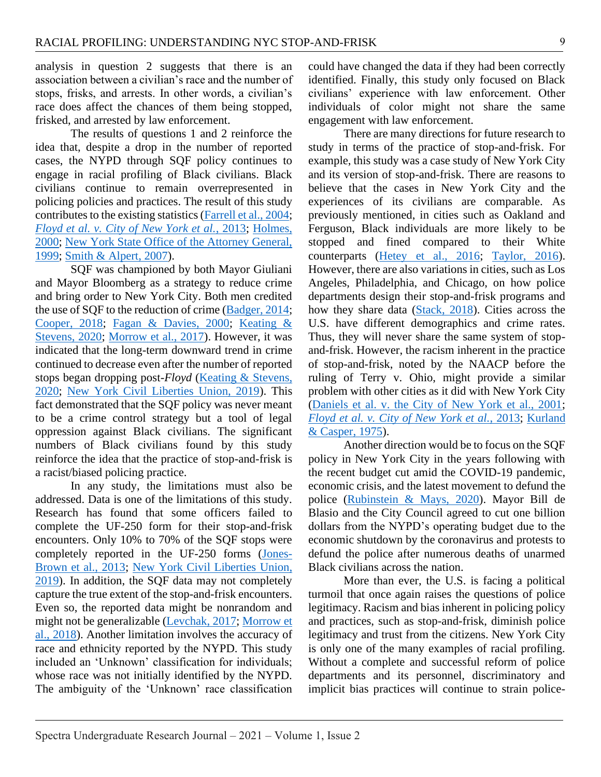analysis in question 2 suggests that there is an association between a civilian's race and the number of stops, frisks, and arrests. In other words, a civilian's race does affect the chances of them being stopped, frisked, and arrested by law enforcement.

The results of questions 1 and 2 reinforce the idea that, despite a drop in the number of reported cases, the NYPD through SQF policy continues to engage in racial profiling of Black civilians. Black civilians continue to remain overrepresented in policing policies and practices. The result of this study contributes to the existing statistics [\(Farrell et al., 2004;](#page-11-1) *[Floyd et al. v. City of New York et al.](#page-11-4)*, 2013; [Holmes,](#page-11-2)  [2000;](#page-11-2) [New York State Office of the Attorney General,](#page-12-4)  [1999;](#page-12-4) [Smith & Alpert, 2007\)](#page-12-5).

SQF was championed by both Mayor Giuliani and Mayor Bloomberg as a strategy to reduce crime and bring order to New York City. Both men credited the use of SQF to the reduction of crime [\(Badger, 2014;](#page-10-6) [Cooper, 2018;](#page-10-15) [Fagan & Davies, 2000;](#page-10-12) [Keating &](#page-11-12)  [Stevens, 2020;](#page-11-12) Morrow [et al., 2017\)](#page-11-5). However, it was indicated that the long-term downward trend in crime continued to decrease even after the number of reported stops began dropping post-*Floyd* [\(Keating & Stevens,](#page-11-12)  [2020;](#page-11-12) [New York Civil Liberties Union, 2019\)](#page-12-16). This fact demonstrated that the SQF policy was never meant to be a crime control strategy but a tool of legal oppression against Black civilians. The significant numbers of Black civilians found by this study reinforce the idea that the practice of stop-and-frisk is a racist/biased policing practice.

In any study, the limitations must also be addressed. Data is one of the limitations of this study. Research has found that some officers failed to complete the UF-250 form for their stop-and-frisk encounters. Only 10% to 70% of the SQF stops were completely reported in the UF-250 forms [\(Jones-](#page-11-13)[Brown et al., 2013;](#page-11-13) [New York Civil Liberties Union,](#page-12-16)  [2019\)](#page-12-16). In addition, the SQF data may not completely capture the true extent of the stop-and-frisk encounters. Even so, the reported data might be nonrandom and might not be generalizable [\(Levchak, 2017;](#page-11-14) [Morrow et](#page-11-15)  [al., 2018\)](#page-11-15). Another limitation involves the accuracy of race and ethnicity reported by the NYPD. This study included an 'Unknown' classification for individuals; whose race was not initially identified by the NYPD. The ambiguity of the 'Unknown' race classification

could have changed the data if they had been correctly identified. Finally, this study only focused on Black civilians' experience with law enforcement. Other individuals of color might not share the same engagement with law enforcement.

There are many directions for future research to study in terms of the practice of stop-and-frisk. For example, this study was a case study of New York City and its version of stop-and-frisk. There are reasons to believe that the cases in New York City and the experiences of its civilians are comparable. As previously mentioned, in cities such as Oakland and Ferguson, Black individuals are more likely to be stopped and fined compared to their White counterparts [\(Hetey et al., 2016;](#page-11-3) [Taylor, 2016\)](#page-12-7). However, there are also variations in cities, such as Los Angeles, Philadelphia, and Chicago, on how police departments design their stop-and-frisk programs and how they share data [\(Stack, 2018\)](#page-12-1). Cities across the U.S. have different demographics and crime rates. Thus, they will never share the same system of stopand-frisk. However, the racism inherent in the practice of stop-and-frisk, noted by the NAACP before the ruling of Terry v. Ohio, might provide a similar problem with other cities as it did with New York City [\(Daniels et al. v. the City of New York et al., 2001;](#page-10-11) *[Floyd et al. v. City of New York et al.](#page-11-4)*, 2013; [Kurland](#page-11-9)  [& Casper, 1975\)](#page-11-9).

Another direction would be to focus on the SQF policy in New York City in the years following with the recent budget cut amid the COVID-19 pandemic, economic crisis, and the latest movement to defund the police [\(Rubinstein & Mays, 2020\)](#page-12-17). Mayor Bill de Blasio and the City Council agreed to cut one billion dollars from the NYPD's operating budget due to the economic shutdown by the coronavirus and protests to defund the police after numerous deaths of unarmed Black civilians across the nation.

More than ever, the U.S. is facing a political turmoil that once again raises the questions of police legitimacy. Racism and bias inherent in policing policy and practices, such as stop-and-frisk, diminish police legitimacy and trust from the citizens. New York City is only one of the many examples of racial profiling. Without a complete and successful reform of police departments and its personnel, discriminatory and implicit bias practices will continue to strain police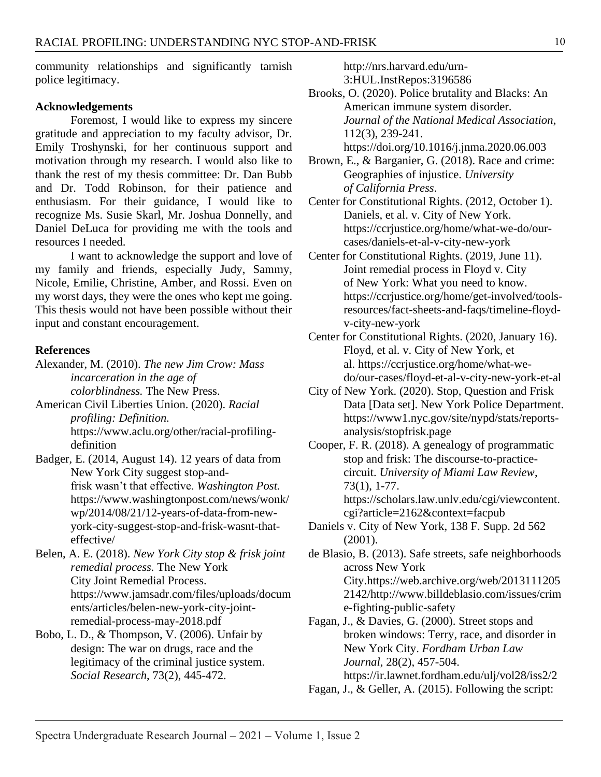community relationships and significantly tarnish police legitimacy.

#### **Acknowledgements**

Foremost, I would like to express my sincere gratitude and appreciation to my faculty advisor, Dr. Emily Troshynski, for her continuous support and motivation through my research. I would also like to thank the rest of my thesis committee: Dr. Dan Bubb and Dr. Todd Robinson, for their patience and enthusiasm. For their guidance, I would like to recognize Ms. Susie Skarl, Mr. Joshua Donnelly, and Daniel DeLuca for providing me with the tools and resources I needed.

I want to acknowledge the support and love of my family and friends, especially Judy, Sammy, Nicole, Emilie, Christine, Amber, and Rossi. Even on my worst days, they were the ones who kept me going. This thesis would not have been possible without their input and constant encouragement.

#### **References**

- <span id="page-10-0"></span>Alexander, M. (2010). *The new Jim Crow: Mass incarceration in the age of colorblindness.* The New Press.
- <span id="page-10-3"></span>American Civil Liberties Union. (2020). *Racial profiling: Definition.* https://www.aclu.org/other/racial-profilingdefinition
- <span id="page-10-6"></span>Badger, E. (2014, August 14). 12 years of data from New York City suggest stop-andfrisk wasn't that effective. *Washington Post.* https://www.washingtonpost.com/news/wonk/ wp/2014/08/21/12-years-of-data-from-newyork-city-suggest-stop-and-frisk-wasnt-thateffective/
- <span id="page-10-4"></span>Belen, A. E. (2018). *New York City stop & frisk joint remedial process.* The New York City Joint Remedial Process. https://www.jamsadr.com/files/uploads/docum ents/articles/belen-new-york-city-jointremedial-process-may-2018.pdf
- <span id="page-10-2"></span>Bobo, L. D., & Thompson, V. (2006). Unfair by design: The war on drugs, race and the legitimacy of the criminal justice system. *Social Research*, 73(2), 445-472.

http://nrs.harvard.edu/urn-3:HUL.InstRepos:3196586

<span id="page-10-1"></span>Brooks, O. (2020). Police brutality and Blacks: An American immune system disorder. *Journal of the National Medical Association*, 112(3), 239-241. https://doi.org/10.1016/j.jnma.2020.06.003

<span id="page-10-9"></span>Brown, E., & Barganier, G. (2018). Race and crime: Geographies of injustice. *University of California Press*.

- <span id="page-10-10"></span>Center for Constitutional Rights. (2012, October 1). Daniels, et al. v. City of New York. https://ccrjustice.org/home/what-we-do/ourcases/daniels-et-al-v-city-new-york
- <span id="page-10-7"></span>Center for Constitutional Rights. (2019, June 11). Joint remedial process in Floyd v. City of New York: What you need to know. https://ccrjustice.org/home/get-involved/toolsresources/fact-sheets-and-faqs/timeline-floydv-city-new-york
- <span id="page-10-13"></span>Center for Constitutional Rights. (2020, January 16). Floyd, et al. v. City of New York, et al. https://ccrjustice.org/home/what-wedo/our-cases/floyd-et-al-v-city-new-york-et-al
- <span id="page-10-5"></span>City of New York. (2020). Stop, Question and Frisk Data [Data set]. New York Police Department. https://www1.nyc.gov/site/nypd/stats/reportsanalysis/stopfrisk.page
- <span id="page-10-15"></span>Cooper, F. R. (2018). A genealogy of programmatic stop and frisk: The discourse-to-practicecircuit. *University of Miami Law Review*, 73(1), 1-77. https://scholars.law.unlv.edu/cgi/viewcontent. cgi?article=2162&context=facpub
- <span id="page-10-11"></span>Daniels v. City of New York, 138 F. Supp. 2d 562 (2001).

<span id="page-10-14"></span>de Blasio, B. (2013). Safe streets, safe neighborhoods across New York City.https://web.archive.org/web/2013111205 2142/http://www.billdeblasio.com/issues/crim e-fighting-public-safety

<span id="page-10-12"></span>Fagan, J., & Davies, G. (2000). Street stops and broken windows: Terry, race, and disorder in New York City. *Fordham Urban Law Journal*, 28(2), 457-504. https://ir.lawnet.fordham.edu/ulj/vol28/iss2/2

<span id="page-10-8"></span>Fagan, J., & Geller, A. (2015). Following the script: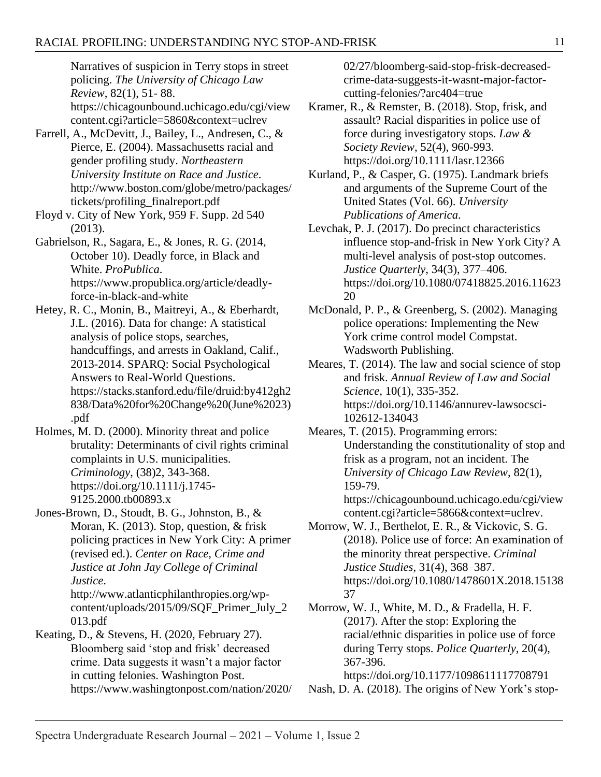Narratives of suspicion in Terry stops in street policing. *The University of Chicago Law Review*, 82(1), 51- 88. https://chicagounbound.uchicago.edu/cgi/view content.cgi?article=5860&context=uclrev

- <span id="page-11-1"></span>Farrell, A., McDevitt, J., Bailey, L., Andresen, C., & Pierce, E. (2004). Massachusetts racial and gender profiling study. *Northeastern University Institute on Race and Justice*. http://www.boston.com/globe/metro/packages/ tickets/profiling\_finalreport.pdf
- <span id="page-11-4"></span>Floyd v. City of New York, 959 F. Supp. 2d 540 (2013).
- <span id="page-11-0"></span>Gabrielson, R., Sagara, E., & Jones, R. G. (2014, October 10). Deadly force, in Black and White. *ProPublica*. https://www.propublica.org/article/deadlyforce-in-black-and-white
- <span id="page-11-3"></span>Hetey, R. C., Monin, B., Maitreyi, A., & Eberhardt, J.L. (2016). Data for change: A statistical analysis of police stops, searches, handcuffings, and arrests in Oakland, Calif., 2013-2014. SPARQ: Social Psychological Answers to Real-World Questions. https://stacks.stanford.edu/file/druid:by412gh2 838/Data%20for%20Change%20(June%2023) .pdf
- <span id="page-11-2"></span>Holmes, M. D. (2000). Minority threat and police brutality: Determinants of civil rights criminal complaints in U.S. municipalities. *Criminology*, (38)2, 343-368. https://doi.org/10.1111/j.1745- 9125.2000.tb00893.x
- <span id="page-11-13"></span>Jones-Brown, D., Stoudt, B. G., Johnston, B., & Moran, K. (2013). Stop, question, & frisk policing practices in New York City: A primer (revised ed.). *Center on Race, Crime and Justice at John Jay College of Criminal Justice*. http://www.atlanticphilanthropies.org/wpcontent/uploads/2015/09/SQF\_Primer\_July\_2

<span id="page-11-12"></span>013.pdf Keating, D., & Stevens, H. (2020, February 27).

Bloomberg said 'stop and frisk' decreased crime. Data suggests it wasn't a major factor in cutting felonies. Washington Post. https://www.washingtonpost.com/nation/2020/ 02/27/bloomberg-said-stop-frisk-decreasedcrime-data-suggests-it-wasnt-major-factorcutting-felonies/?arc404=true

- <span id="page-11-8"></span>Kramer, R., & Remster, B. (2018). Stop, frisk, and assault? Racial disparities in police use of force during investigatory stops. *Law & Society Review*, 52(4), 960-993. https://doi.org/10.1111/lasr.12366
- <span id="page-11-9"></span>Kurland, P., & Casper, G. (1975). Landmark briefs and arguments of the Supreme Court of the United States (Vol. 66). *University Publications of America*.
- <span id="page-11-14"></span>Levchak, P. J. (2017). Do precinct characteristics influence stop-and-frisk in New York City? A multi-level analysis of post-stop outcomes. *Justice Quarterly*, 34(3), 377–406. https://doi.org/10.1080/07418825.2016.11623 20
- <span id="page-11-6"></span>McDonald, P. P., & Greenberg, S. (2002). Managing police operations: Implementing the New York crime control model Compstat. Wadsworth Publishing.
- <span id="page-11-11"></span>Meares, T. (2014). The law and social science of stop and frisk. *Annual Review of Law and Social Science*, 10(1), 335-352. https://doi.org/10.1146/annurev-lawsocsci-102612-134043
- <span id="page-11-7"></span>Meares, T. (2015). Programming errors: Understanding the constitutionality of stop and frisk as a program, not an incident. The *University of Chicago Law Review*, 82(1), 159-79. https://chicagounbound.uchicago.edu/cgi/view
	- content.cgi?article=5866&context=uclrev.
- <span id="page-11-15"></span>Morrow, W. J., Berthelot, E. R., & Vickovic, S. G. (2018). Police use of force: An examination of the minority threat perspective. *Criminal Justice Studies*, 31(4), 368–387. https://doi.org/10.1080/1478601X.2018.15138 37
- <span id="page-11-5"></span>Morrow, W. J., White, M. D., & Fradella, H. F. (2017). After the stop: Exploring the racial/ethnic disparities in police use of force during Terry stops. *Police Quarterly*, 20(4), 367-396.

https://doi.org/10.1177/1098611117708791

<span id="page-11-10"></span>Nash, D. A. (2018). The origins of New York's stop-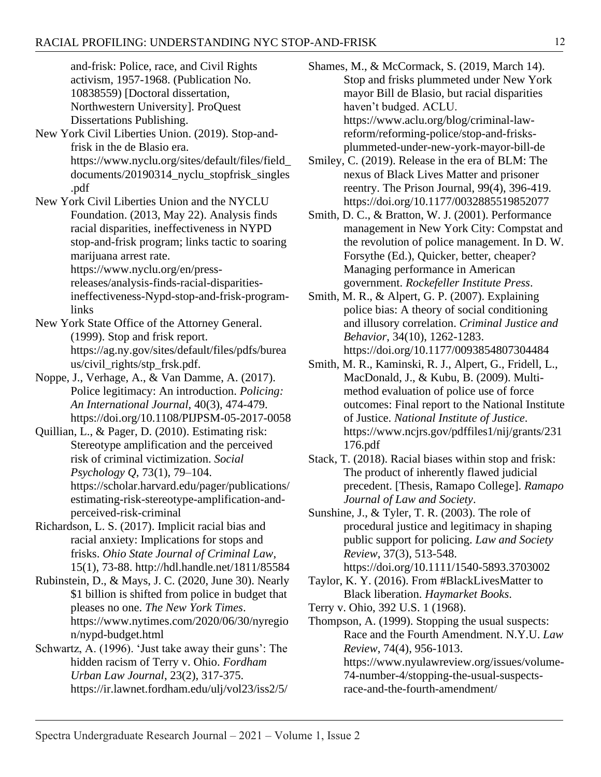<span id="page-12-16"></span><span id="page-12-14"></span>and-frisk: Police, race, and Civil Rights activism, 1957-1968. (Publication No. 10838559) [Doctoral dissertation, Northwestern University]. ProQuest Dissertations Publishing. New York Civil Liberties Union. (2019). Stop-andfrisk in the de Blasio era. https://www.nyclu.org/sites/default/files/field\_ documents/20190314\_nyclu\_stopfrisk\_singles .pdf New York Civil Liberties Union and the NYCLU Foundation. (2013, May 22). Analysis finds racial disparities, ineffectiveness in NYPD stop-and-frisk program; links tactic to soaring marijuana arrest rate. https://www.nyclu.org/en/pressreleases/analysis-finds-racial-disparitiesineffectiveness-Nypd-stop-and-frisk-programlinks New York State Office of the Attorney General. (1999). Stop and frisk report. https://ag.ny.gov/sites/default/files/pdfs/burea us/civil\_rights/stp\_frsk.pdf. Noppe, J., Verhage, A., & Van Damme, A. (2017). Police legitimacy: An introduction. *Policing: An International Journal*, 40(3), 474-479. https://doi.org/10.1108/PIJPSM-05-2017-0058 Quillian, L., & Pager, D. (2010). Estimating risk: Stereotype amplification and the perceived risk of criminal victimization. *Social Psychology Q*, 73(1), 79–104. https://scholar.harvard.edu/pager/publications/ estimating-risk-stereotype-amplification-and-

<span id="page-12-11"></span><span id="page-12-10"></span><span id="page-12-4"></span><span id="page-12-0"></span>perceived-risk-criminal Richardson, L. S. (2017). Implicit racial bias and racial anxiety: Implications for stops and frisks. *Ohio State Journal of Criminal Law*,

15(1), 73-88. http://hdl.handle.net/1811/85584 Rubinstein, D., & Mays, J. C. (2020, June 30). Nearly

<span id="page-12-17"></span>\$1 billion is shifted from police in budget that pleases no one. *The New York Times*. https://www.nytimes.com/2020/06/30/nyregio n/nypd-budget.html

<span id="page-12-13"></span>Schwartz, A. (1996). 'Just take away their guns': The hidden racism of Terry v. Ohio. *Fordham Urban Law Journal*, 23(2), 317-375. https://ir.lawnet.fordham.edu/ulj/vol23/iss2/5/ <span id="page-12-15"></span>Shames, M., & McCormack, S. (2019, March 14). Stop and frisks plummeted under New York mayor Bill de Blasio, but racial disparities haven't budged. ACLU. https://www.aclu.org/blog/criminal-lawreform/reforming-police/stop-and-frisksplummeted-under-new-york-mayor-bill-de

- <span id="page-12-6"></span>Smiley, C. (2019). Release in the era of BLM: The nexus of Black Lives Matter and prisoner reentry. The Prison Journal, 99(4), 396-419. https://doi.org/10.1177/0032885519852077
- <span id="page-12-8"></span>Smith, D. C., & Bratton, W. J. (2001). Performance management in New York City: Compstat and the revolution of police management. In D. W. Forsythe (Ed.), Quicker, better, cheaper? Managing performance in American government. *Rockefeller Institute Press*.
- <span id="page-12-5"></span>Smith, M. R., & Alpert, G. P. (2007). Explaining police bias: A theory of social conditioning and illusory correlation. *Criminal Justice and Behavior*, 34(10), 1262-1283. https://doi.org/10.1177/0093854807304484
- <span id="page-12-3"></span>Smith, M. R., Kaminski, R. J., Alpert, G., Fridell, L., MacDonald, J., & Kubu, B. (2009). Multimethod evaluation of police use of force outcomes: Final report to the National Institute of Justice. *National Institute of Justice*. https://www.ncjrs.gov/pdffiles1/nij/grants/231 176.pdf
- <span id="page-12-1"></span>Stack, T. (2018). Racial biases within stop and frisk: The product of inherently flawed judicial precedent. [Thesis, Ramapo College]. *Ramapo Journal of Law and Society*.
- <span id="page-12-2"></span>Sunshine, J., & Tyler, T. R. (2003). The role of procedural justice and legitimacy in shaping public support for policing. *Law and Society Review*, 37(3), 513-548.
- https://doi.org/10.1111/1540-5893.3703002
- <span id="page-12-7"></span>Taylor, K. Y. (2016). From #BlackLivesMatter to Black liberation. *Haymarket Books*.

<span id="page-12-9"></span>Terry v. Ohio, 392 U.S. 1 (1968).

<span id="page-12-12"></span>Thompson, A. (1999). Stopping the usual suspects: Race and the Fourth Amendment. N.Y.U. *Law Review*, 74(4), 956-1013.

https://www.nyulawreview.org/issues/volume-74-number-4/stopping-the-usual-suspectsrace-and-the-fourth-amendment/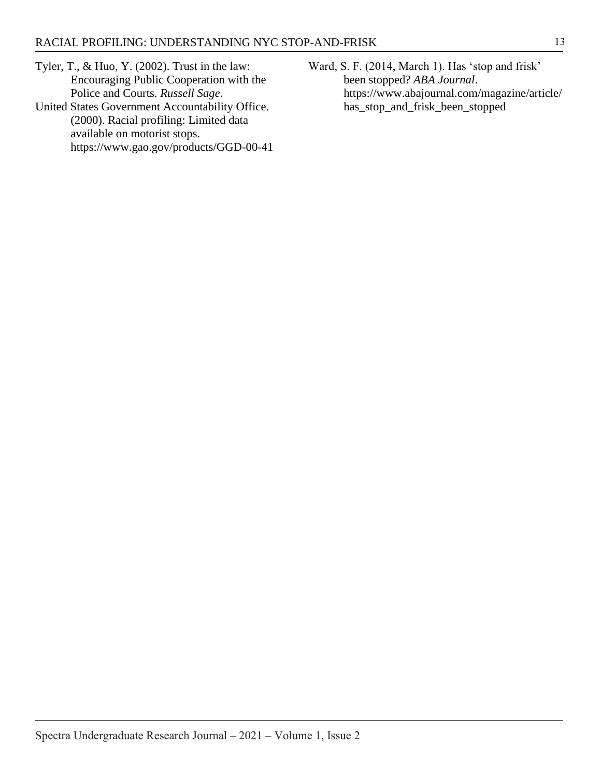- <span id="page-13-0"></span>Tyler, T., & Huo, Y. (2002). Trust in the law: Encouraging Public Cooperation with the Police and Courts. *Russell Sage*.
- <span id="page-13-1"></span>United States Government Accountability Office. (2000). Racial profiling: Limited data available on motorist stops. https://www.gao.gov/products/GGD-00-41
- <span id="page-13-2"></span>Ward, S. F. (2014, March 1). Has 'stop and frisk' been stopped? *ABA Journal*. https://www.abajournal.com/magazine/article/ has\_stop\_and\_frisk\_been\_stopped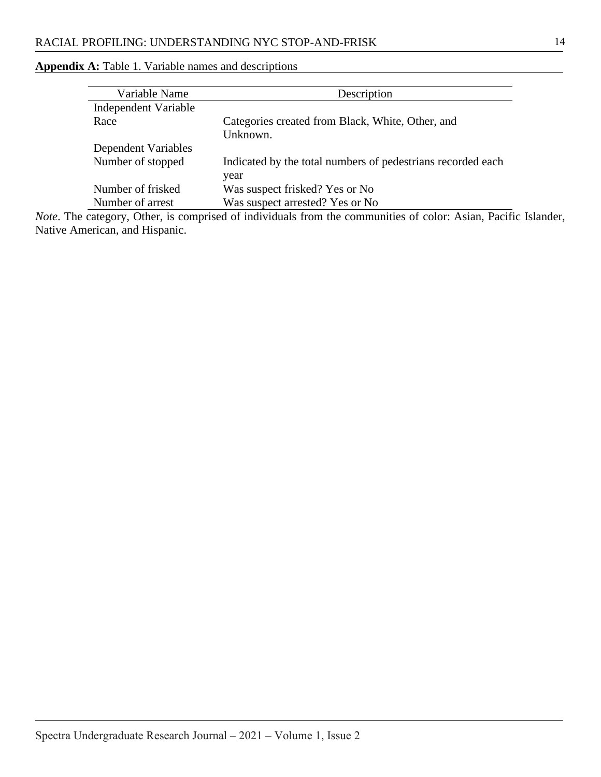<span id="page-14-0"></span>

| <b>Appendix A:</b> Table 1. Variable names and descriptions |  |  |
|-------------------------------------------------------------|--|--|
|-------------------------------------------------------------|--|--|

| Variable Name        | Description                                                 |
|----------------------|-------------------------------------------------------------|
| Independent Variable |                                                             |
| Race                 | Categories created from Black, White, Other, and            |
|                      | Unknown.                                                    |
| Dependent Variables  |                                                             |
| Number of stopped    | Indicated by the total numbers of pedestrians recorded each |
|                      | year                                                        |
| Number of frisked    | Was suspect frisked? Yes or No                              |
| Number of arrest     | Was suspect arrested? Yes or No                             |

*Note*. The category, Other, is comprised of individuals from the communities of color: Asian, Pacific Islander, Native American, and Hispanic.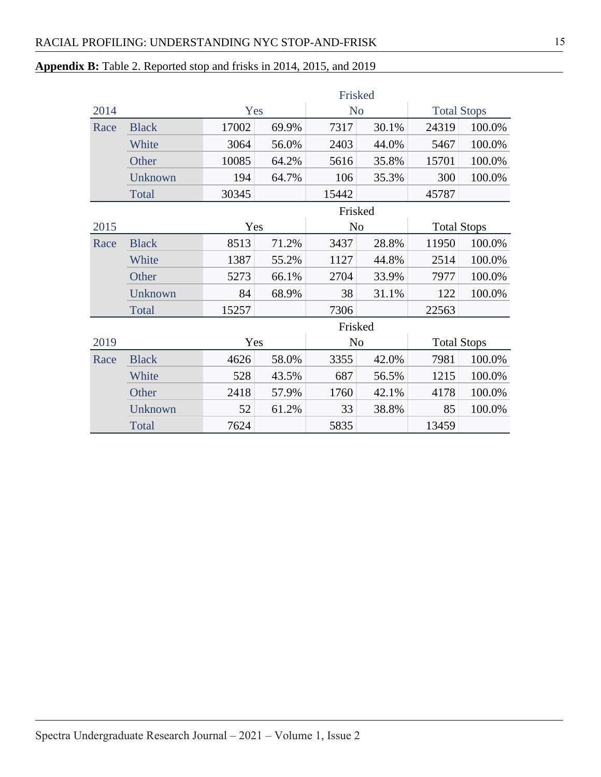# <span id="page-15-0"></span>**Appendix B:** Table 2. Reported stop and frisks in 2014, 2015, and 2019

|      |              | Frisked |       |                |                |                    |        |  |
|------|--------------|---------|-------|----------------|----------------|--------------------|--------|--|
| 2014 |              | Yes     |       | N <sub>o</sub> |                | <b>Total Stops</b> |        |  |
| Race | <b>Black</b> | 17002   | 69.9% | 7317           | 30.1%          | 24319              | 100.0% |  |
|      | White        | 3064    | 56.0% | 2403           | 44.0%          | 5467               | 100.0% |  |
|      | Other        | 10085   | 64.2% | 5616           | 35.8%          | 15701              | 100.0% |  |
|      | Unknown      | 194     | 64.7% | 106            | 35.3%          | 300                | 100.0% |  |
|      | Total        | 30345   |       | 15442          |                | 45787              |        |  |
|      |              |         |       | Frisked        |                |                    |        |  |
| 2015 |              | Yes     |       |                | N <sub>o</sub> | <b>Total Stops</b> |        |  |
| Race | <b>Black</b> | 8513    | 71.2% | 3437           | 28.8%          | 11950              | 100.0% |  |
|      | White        | 1387    | 55.2% | 1127           | 44.8%          | 2514               | 100.0% |  |
|      | Other        | 5273    | 66.1% | 2704           | 33.9%          | 7977               | 100.0% |  |
|      | Unknown      | 84      | 68.9% | 38             | 31.1%          | 122                | 100.0% |  |
|      | Total        | 15257   |       | 7306           |                | 22563              |        |  |
|      |              |         |       | Frisked        |                |                    |        |  |
| 2019 |              | Yes     |       | N <sub>o</sub> |                | <b>Total Stops</b> |        |  |
| Race | <b>Black</b> | 4626    | 58.0% | 3355           | 42.0%          | 7981               | 100.0% |  |
|      | White        | 528     | 43.5% | 687            | 56.5%          | 1215               | 100.0% |  |
|      | Other        | 2418    | 57.9% | 1760           | 42.1%          | 4178               | 100.0% |  |
|      | Unknown      | 52      | 61.2% | 33             | 38.8%          | 85                 | 100.0% |  |
|      | Total        | 7624    |       | 5835           |                | 13459              |        |  |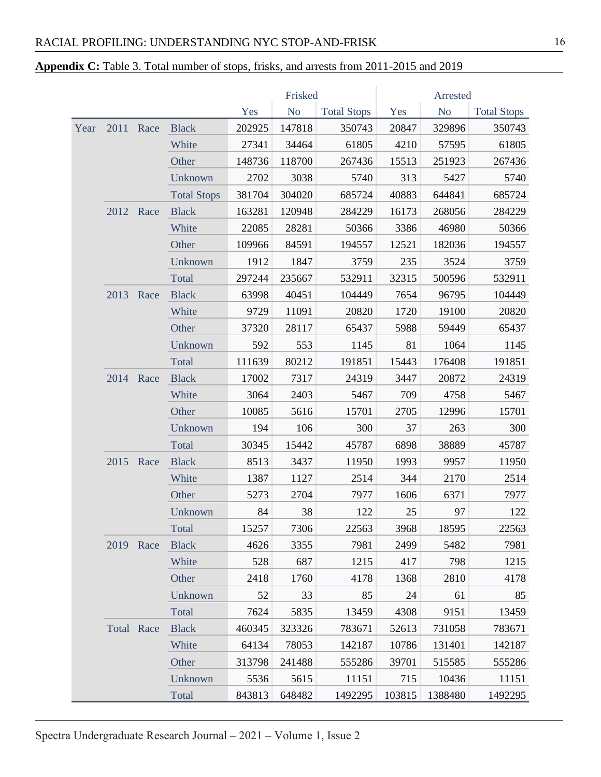## <span id="page-16-0"></span>**Appendix C:** Table 3. Total number of stops, frisks, and arrests from 2011-2015 and 2019

|      |           |            |                    |        | Frisked        |                    | Arrested |                |                    |
|------|-----------|------------|--------------------|--------|----------------|--------------------|----------|----------------|--------------------|
|      |           |            |                    | Yes    | N <sub>o</sub> | <b>Total Stops</b> | Yes      | N <sub>o</sub> | <b>Total Stops</b> |
| Year | 2011      | Race       | <b>Black</b>       | 202925 | 147818         | 350743             | 20847    | 329896         | 350743             |
|      |           |            | White              | 27341  | 34464          | 61805              | 4210     | 57595          | 61805              |
|      |           |            | Other              | 148736 | 118700         | 267436             | 15513    | 251923         | 267436             |
|      |           |            | Unknown            | 2702   | 3038           | 5740               | 313      | 5427           | 5740               |
|      |           |            | <b>Total Stops</b> | 381704 | 304020         | 685724             | 40883    | 644841         | 685724             |
|      |           | 2012 Race  | <b>Black</b>       | 163281 | 120948         | 284229             | 16173    | 268056         | 284229             |
|      |           |            | White              | 22085  | 28281          | 50366              | 3386     | 46980          | 50366              |
|      |           |            | Other              | 109966 | 84591          | 194557             | 12521    | 182036         | 194557             |
|      |           |            | Unknown            | 1912   | 1847           | 3759               | 235      | 3524           | 3759               |
|      |           |            | Total              | 297244 | 235667         | 532911             | 32315    | 500596         | 532911             |
|      |           | 2013 Race  | <b>Black</b>       | 63998  | 40451          | 104449             | 7654     | 96795          | 104449             |
|      |           |            | White              | 9729   | 11091          | 20820              | 1720     | 19100          | 20820              |
|      |           |            | Other              | 37320  | 28117          | 65437              | 5988     | 59449          | 65437              |
|      |           |            | Unknown            | 592    | 553            | 1145               | 81       | 1064           | 1145               |
|      |           |            | Total              | 111639 | 80212          | 191851             | 15443    | 176408         | 191851             |
|      |           | 2014 Race  | <b>Black</b>       | 17002  | 7317           | 24319              | 3447     | 20872          | 24319              |
|      |           |            | White              | 3064   | 2403           | 5467               | 709      | 4758           | 5467               |
|      |           |            | Other              | 10085  | 5616           | 15701              | 2705     | 12996          | 15701              |
|      |           |            | Unknown            | 194    | 106            | 300                | 37       | 263            | 300                |
|      |           |            | Total              | 30345  | 15442          | 45787              | 6898     | 38889          | 45787              |
|      | 2015 Race |            | <b>Black</b>       | 8513   | 3437           | 11950              | 1993     | 9957           | 11950              |
|      |           | White      | 1387               | 1127   | 2514           | 344                | 2170     | 2514           |                    |
|      |           |            | Other              | 5273   | 2704           | 7977               | 1606     | 6371           | 7977               |
|      |           |            | Unknown            | 84     | 38             | 122                | 25       | 97             | 122                |
|      |           |            | Total              | 15257  | 7306           | 22563              | 3968     | 18595          | 22563              |
|      |           | 2019 Race  | <b>Black</b>       | 4626   | 3355           | 7981               | 2499     | 5482           | 7981               |
|      |           |            | White              | 528    | 687            | 1215               | 417      | 798            | 1215               |
|      |           |            | Other              | 2418   | 1760           | 4178               | 1368     | 2810           | 4178               |
|      |           |            | Unknown            | 52     | 33             | 85                 | 24       | 61             | 85                 |
|      |           |            | Total              | 7624   | 5835           | 13459              | 4308     | 9151           | 13459              |
|      |           | Total Race | <b>Black</b>       | 460345 | 323326         | 783671             | 52613    | 731058         | 783671             |
|      |           |            | White              | 64134  | 78053          | 142187             | 10786    | 131401         | 142187             |
|      |           |            | Other              | 313798 | 241488         | 555286             | 39701    | 515585         | 555286             |
|      |           |            | Unknown            | 5536   | 5615           | 11151              | 715      | 10436          | 11151              |
|      |           |            | Total              | 843813 | 648482         | 1492295            | 103815   | 1388480        | 1492295            |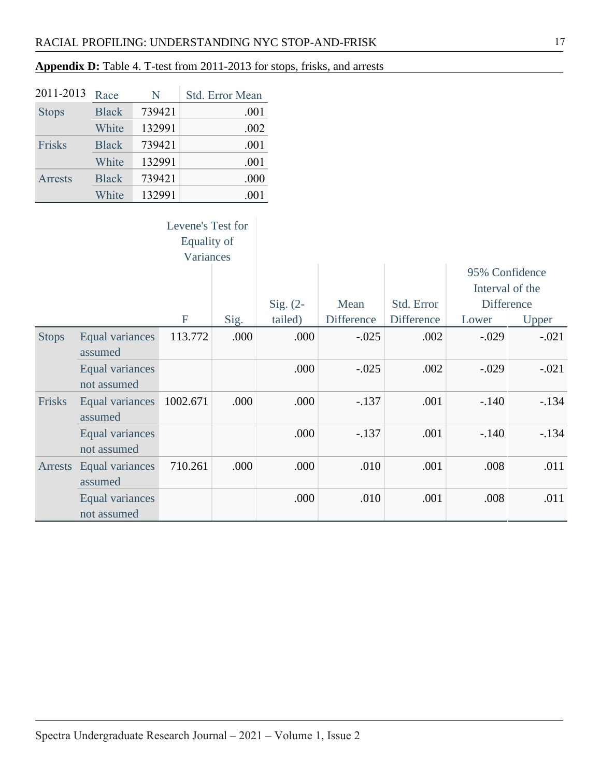# <span id="page-17-0"></span>**Appendix D:** Table 4. T-test from 2011-2013 for stops, frisks, and arrests

| 2011-2013      | Race         | N      | Std. Error Mean |
|----------------|--------------|--------|-----------------|
| <b>Stops</b>   | <b>Black</b> | 739421 | .001            |
|                | White        | 132991 | .002            |
| Frisks         | <b>Black</b> | 739421 | .001            |
|                | White        | 132991 | .001            |
| <b>Arrests</b> | <b>Black</b> | 739421 | .000            |
|                | White        | 132991 | .001            |

| Levene's Test for |
|-------------------|
| Equality of       |
| Variances         |

|              | Levenes Test for       |             |      |            |                   |                   |                   |         |
|--------------|------------------------|-------------|------|------------|-------------------|-------------------|-------------------|---------|
|              |                        | Equality of |      |            |                   |                   |                   |         |
|              |                        | Variances   |      |            |                   |                   |                   |         |
|              |                        |             |      |            |                   |                   | 95% Confidence    |         |
|              |                        |             |      |            |                   |                   | Interval of the   |         |
|              |                        |             |      | $Sig. (2-$ | Mean              | Std. Error        | <b>Difference</b> |         |
|              |                        | F           | Sig. | tailed)    | <b>Difference</b> | <b>Difference</b> | Lower             | Upper   |
| <b>Stops</b> | Equal variances        | 113.772     | .000 | .000       | $-.025$           | .002              | $-.029$           | $-.021$ |
|              | assumed                |             |      |            |                   |                   |                   |         |
|              | Equal variances        |             |      | .000       | $-.025$           | .002              | $-.029$           | $-.021$ |
|              | not assumed            |             |      |            |                   |                   |                   |         |
| Frisks       | <b>Equal variances</b> | 1002.671    | .000 | .000       | $-.137$           | .001              | $-.140$           | $-.134$ |
|              | assumed                |             |      |            |                   |                   |                   |         |
|              | Equal variances        |             |      | .000       | $-.137$           | .001              | $-.140$           | $-134$  |
|              | not assumed            |             |      |            |                   |                   |                   |         |
| Arrests      | Equal variances        | 710.261     | .000 | .000       | .010              | .001              | .008              | .011    |
|              | assumed                |             |      |            |                   |                   |                   |         |
|              | Equal variances        |             |      | .000       | .010              | .001              | .008              | .011    |
|              | not assumed            |             |      |            |                   |                   |                   |         |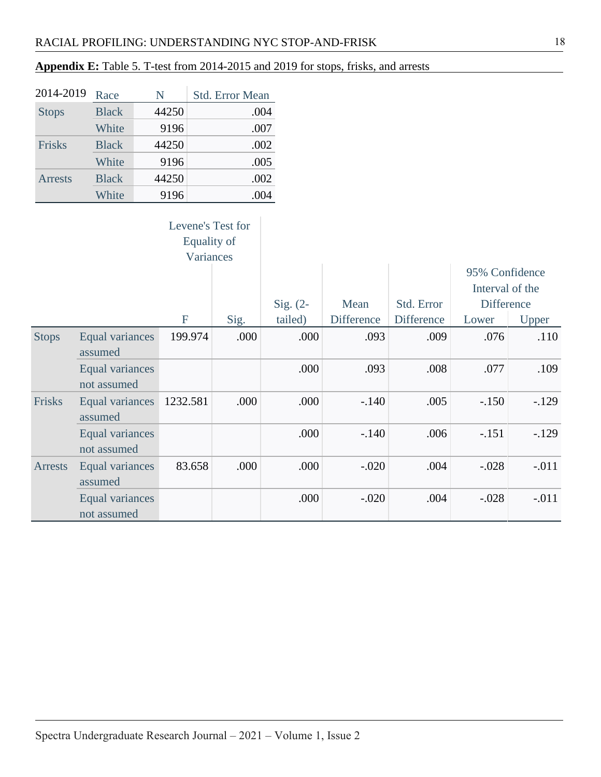# <span id="page-18-0"></span>**Appendix E:** Table 5. T-test from 2014-2015 and 2019 for stops, frisks, and arrests

| 2014-2019      | Race         | N     | <b>Std. Error Mean</b> |
|----------------|--------------|-------|------------------------|
| <b>Stops</b>   | <b>Black</b> | 44250 | .004                   |
|                | White        | 9196  | .007                   |
| Frisks         | <b>Black</b> | 44250 | .002                   |
|                | White        | 9196  | .005                   |
| <b>Arrests</b> | <b>Black</b> | 44250 | .002                   |
|                | White        | 9196  | .004                   |

| Levene's Test for |
|-------------------|
| Equality of       |
| Variances         |

|                |                                |          |      |            |                   |                   | 95% Confidence    |         |
|----------------|--------------------------------|----------|------|------------|-------------------|-------------------|-------------------|---------|
|                |                                |          |      |            |                   |                   | Interval of the   |         |
|                |                                |          |      | Sig. $(2-$ | Mean              | Std. Error        | <b>Difference</b> |         |
|                |                                | F        | Sig. | tailed)    | <b>Difference</b> | <b>Difference</b> | Lower             | Upper   |
| <b>Stops</b>   | Equal variances<br>assumed     | 199.974  | .000 | .000       | .093              | .009              | .076              | .110    |
|                | Equal variances<br>not assumed |          |      | .000       | .093              | .008              | .077              | .109    |
| Frisks         | Equal variances<br>assumed     | 1232.581 | .000 | .000       | $-.140$           | .005              | $-.150$           | $-129$  |
|                | Equal variances<br>not assumed |          |      | .000       | $-.140$           | .006              | $-.151$           | $-.129$ |
| <b>Arrests</b> | Equal variances<br>assumed     | 83.658   | .000 | .000       | $-.020$           | .004              | $-.028$           | $-.011$ |
|                | Equal variances<br>not assumed |          |      | .000       | $-.020$           | .004              | $-.028$           | $-.011$ |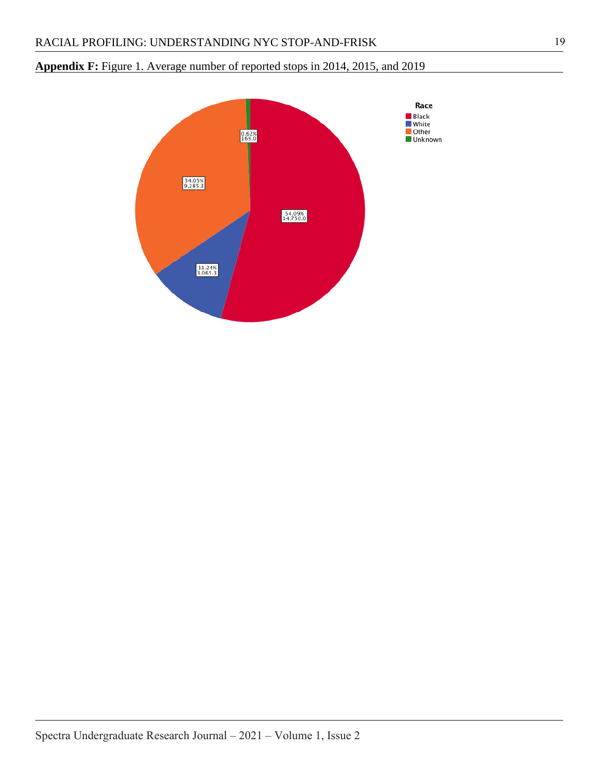# <span id="page-19-0"></span>**Appendix F:** Figure 1. Average number of reported stops in 2014, 2015, and 2019

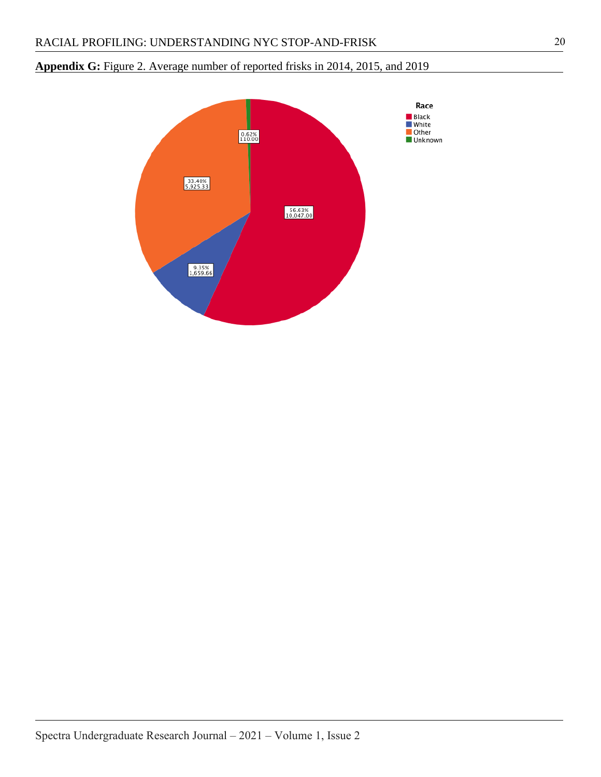# <span id="page-20-0"></span>**Appendix G:** Figure 2. Average number of reported frisks in 2014, 2015, and 2019

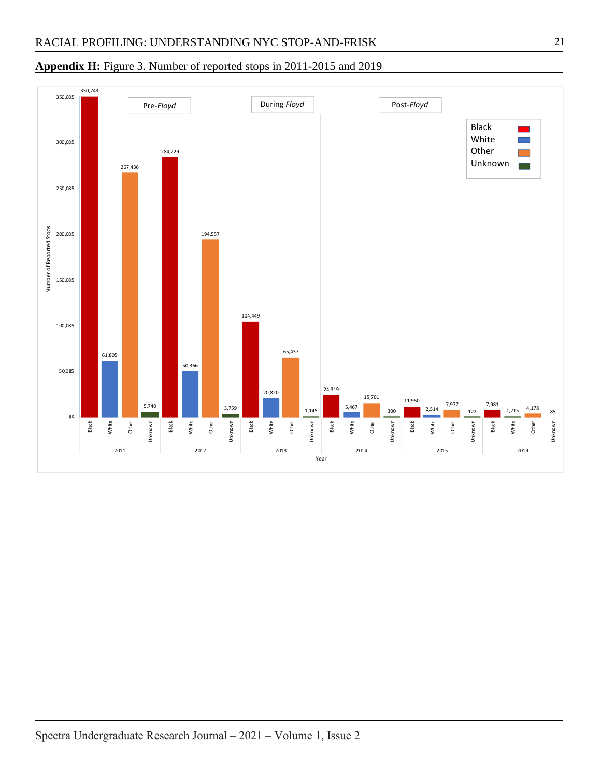#### 350,743 350,085 Pre-*Floyd* During *Floyd* Post-*Floyd*Black White 300,085 Other 284,229 Unknown 267,436 250,085 Number of Reported Stops Number of Reported Stops 200,085 194,557 150,085 104,449 100,085 65,437 61,805 50,366 50,085 24,319 20,820 15,701 11,950 7,977 7,981 5,740 5,467 3,759 2,514 4,178 1,145 1,215 300 122 85 85 Unknown White Unknown Black White White Unknown Unknown Unknown White Unknown Black Black White Other Other Other Black White Other Black Other Black Other 2011 2012 2013 2014 2015 2019 Year

#### <span id="page-21-0"></span>**Appendix H:** Figure 3. Number of reported stops in 2011-2015 and 2019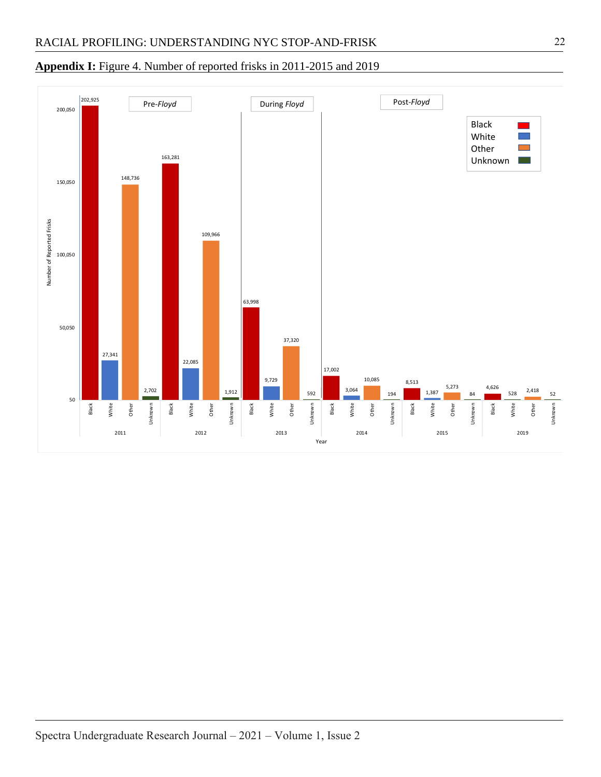### <span id="page-22-0"></span>**Appendix I:** Figure 4. Number of reported frisks in 2011-2015 and 2019